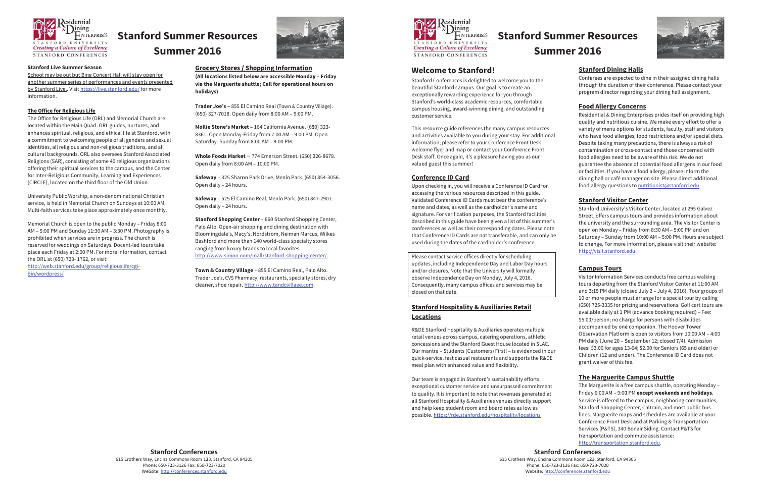

# **Stanford Summer Resources Summer 2016**

#### **Stanford Live Summer Season**

School may be out but Bing Concert Hall will stay open for another summer series of performances and events presented by Stanford Live. Visit https://live.stanford.edu/ for more information.

#### The Office for Religious Life

The Office for Religious Life (ORL) and Memorial Church are located within the Main Quad. ORL guides, nurtures, and enhances spiritual, religious, and ethical life at Stanford, with a commitment to welcoming people of all genders and sexual identities, all religious and non-religious traditions, and all cultural backgrounds. ORL also oversees Stanford Associated Religions (SAR), consisting of some 40 religious organizations offering their spiritual services to the campus, and the Center for Inter-Religious Community, Learning and Experiences (CIRCLE), located on the third floor of the Old Union.

University Public Worship, a non-denominational Christian service, is held in Memorial Church on Sundays at 10:00 AM. Multi-faith services take place approximately once monthly.

Memorial Church is open to the public Monday - Friday 8:00 AM - 5:00 PM and Sunday 11:30 AM - 3:30 PM. Photography is prohibited when services are in progress. The church is reserved for weddings on Saturdays. Docent-led tours take place each Friday at 2:00 PM. For more information, contact the ORL at (650) 723-1762, or visit:

http://web.stanford.edu/group/religiouslife/cgibin/wordpress/



#### **Grocery Stores / Shopping Information**

(All locations listed below are accessible Monday - Friday via the Marguerite shuttle; Call for operational hours on holidays)

Trader Joe's - 855 El Camino Real (Town & Country Village). (650) 327-7018. Open daily from 8:00 AM - 9:00 PM.

Mollie Stone's Market - 164 California Avenue. (650) 323-8361. Open Monday-Friday from 7:00 AM - 9:00 PM. Open Saturday- Sunday from 8:00 AM - 9:00 PM.

Whole Foods Market  $-774$  Emerson Street. (650) 326-8678. Open daily from 8:00 AM - 10:00 PM.

Safeway - 325 Sharon Park Drive, Menlo Park. (650) 854-3056. Open daily - 24 hours.

Safeway - 525 El Camino Real, Menlo Park. (650) 847-2901. Open daily - 24 hours.

**Stanford Shopping Center - 660 Stanford Shopping Center,** Palo Alto. Open-air shopping and dining destination with Bloomingdale's, Macy's, Nordstrom, Neiman Marcus, Wilkes Bashford and more than 140 world-class specialty stores ranging from luxury brands to local favorites. http://www.simon.com/mall/stanford-shopping-center/.

Town & Country Village - 855 El Camino Real, Palo Alto. Trader Joe's, CVS Pharmacy, restaurants, specialty stores, dry cleaner, shoe repair. http://www.tandcvillage.com.



# **Stanford Summer Resources Summer 2016**

# **Welcome to Stanford!**

Stanford Conferences is delighted to welcome you to the beautiful Stanford campus. Our goal is to create an exceptionally rewarding experience for you through Stanford's world-class academic resources, comfortable campus housing, award-winning dining, and outstanding customer service.

This resource guide references the many campus resources and activities available to you during your stay. For additional information, please refer to your Conference Front Desk welcome flyer and map or contact your Conference Front Desk staff. Once again, it's a pleasure having you as our valued guest this summer!

#### **Conference ID Card**

Upon checking in, you will receive a Conference ID Card for accessing the various resources described in this guide. Validated Conference ID Cards must bear the conference's name and dates, as well as the cardholder's name and signature. For verification purposes, the Stanford facilities described in this guide have been given a list of this summer's conferences as well as their corresponding dates. Please note that Conference ID Cards are not transferable, and can only be used during the dates of the cardholder's conference.

Please contact service offices directly for scheduling updates, including Independence Day and Labor Day hours and/or closures. Note that the University will formally observe Independence Day on Monday, July 4, 2016. Consequently, many campus offices and services may be closed on that date.

# **Stanford Hospitality & Auxiliaries Retail Locations**

R&DE Stanford Hospitality & Auxiliaries operates multiple retail venues across campus, catering operations, athletic concessions and the Stanford Guest House located in SLAC. Our mantra - Students (Customers) First! - is evidenced in our quick-service, fast casual restaurants and supports the R&DE meal plan with enhanced value and flexibility.

Our team is engaged in Stanford's sustainability efforts, exceptional customer service and unsurpassed commitment to quality. It is important to note that revenues generated at all Stanford Hospitality & Auxiliaries venues directly support and help keep student room and board rates as low as possible. https://rde.stanford.edu/hospitality/locations

**Stanford Conferences** 

**Stanford Conferences** 615 Crothers Way, Encina Commons Room 123, Stanford, CA 94305 Phone: 650-723-3126 Fax: 650-723-7020 Website: http://conferences.stanford.edu



# **Stanford Dining Halls**

Conferees are expected to dine in their assigned dining halls through the duration of their conference. Please contact your program director regarding your dining hall assignment.

### **Food Allergy Concerns**

Residential & Dining Enterprises prides itself on providing high quality and nutritious cuisine. We make every effort to offer a variety of menu options for students, faculty, staff and visitors who have food allergies, food restrictions and/or special diets. Despite taking many precautions, there is always a risk of contamination or cross-contact and those concerned with food allergies need to be aware of this risk. We do not guarantee the absence of potential food allergens in our food or facilities. If you have a food allergy, please inform the dining hall or café manager on site. Please direct additional food allergy questions to nutritionist@stanford.edu

# **Stanford Visitor Center**

Stanford University's Visitor Center, located at 295 Galvez Street, offers campus tours and provides information about the university and the surrounding area. The Visitor Center is open on Monday - Friday from 8:30 AM - 5:00 PM and on Saturday - Sunday from 10:00 AM - 5:00 PM. Hours are subject to change. For more information, please visit their website: http://visit.stanford.edu.

# **Campus Tours**

Visitor Information Services conducts free campus walking tours departing from the Stanford Visitor Center at 11:00 AM and 3:15 PM daily (closed July 2 - July 4, 2016). Tour groups of 10 or more people must arrange for a special tour by calling (650) 725-3335 for pricing and reservations. Golf cart tours are available daily at 1 PM (advance booking required) - Fee: \$5.00/person; no charge for persons with disabilities accompanied by one companion. The Hoover Tower Observation Platform is open to visitors from 10:00 AM - 4:00 PM daily (June 20 - September 12; closed 7/4). Admission fees: \$3.00 for ages 13-64; \$2.00 for Seniors (65 and older) or Children (12 and under). The Conference ID Card does not grant waiver of this fee.

# The Marguerite Campus Shuttle

The Marguerite is a free campus shuttle, operating Monday -Friday 6:00 AM - 9:00 PM except weekends and holidays. Service is offered to the campus, neighboring communities, Stanford Shopping Center, Caltrain, and most public bus lines. Marguerite maps and schedules are available at your Conference Front Desk and at Parking & Transportation Services (P&TS), 340 Bonair Siding. Contact P&TS for transportation and commute assistance: http://transportation.stanford.edu.